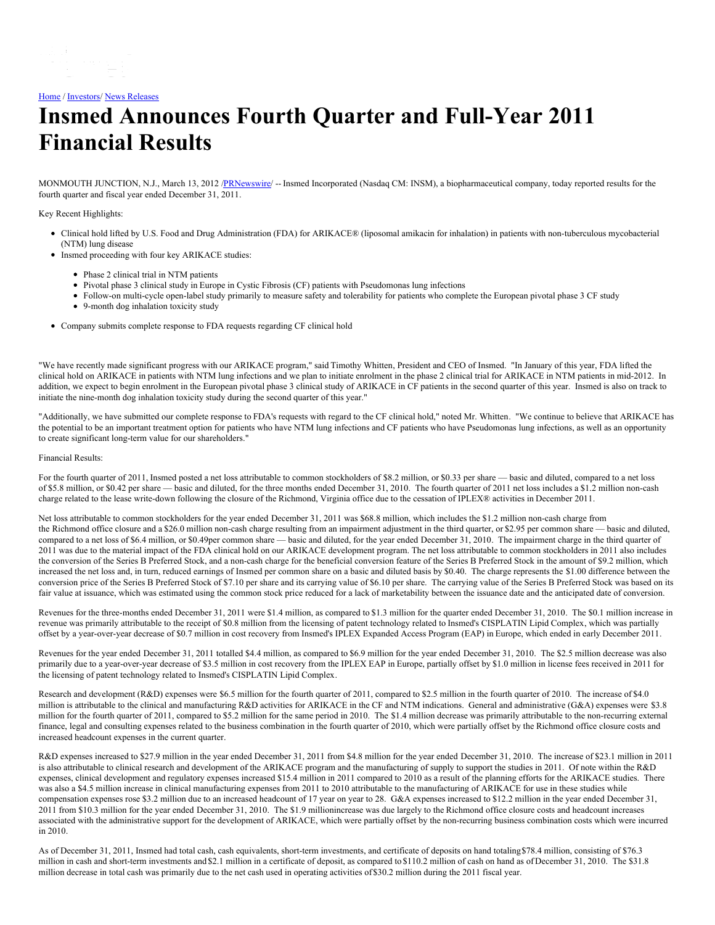## [Home](https://insmed.com/) / [Investors](https://investor.insmed.com/index)/ News [Releases](https://investor.insmed.com/releases)

# **Insmed Announces Fourth Quarter and Full-Year 2011 Financial Results**

MONMOUTH JUNCTION, N.J., March 13, 2012 /[PRNewswire/](http://www.prnewswire.com/) -- Insmed Incorporated (Nasdaq CM: INSM), a biopharmaceutical company, today reported results for the fourth quarter and fiscal year ended December 31, 2011.

Key Recent Highlights:

- Clinical hold lifted by U.S. Food and Drug Administration (FDA) for ARIKACE® (liposomal amikacin for inhalation) in patients with non-tuberculous mycobacterial (NTM) lung disease
- Insmed proceeding with four key ARIKACE studies:
	- Phase 2 clinical trial in NTM patients
	- Pivotal phase 3 clinical study in Europe in Cystic Fibrosis (CF) patients with Pseudomonas lung infections
	- Follow-on multi-cycle open-label study primarily to measure safety and tolerability for patients who complete the European pivotal phase 3 CF study
	- 9-month dog inhalation toxicity study
- Company submits complete response to FDA requests regarding CF clinical hold

"We have recently made significant progress with our ARIKACE program," said Timothy Whitten, President and CEO of Insmed. "In January of this year, FDA lifted the clinical hold on ARIKACE in patients with NTM lung infections and we plan to initiate enrolment in the phase 2 clinical trial for ARIKACE in NTM patients in mid-2012. In addition, we expect to begin enrolment in the European pivotal phase 3 clinical study of ARIKACE in CF patients in the second quarter of this year. Insmed is also on track to initiate the nine-month dog inhalation toxicity study during the second quarter of this year."

"Additionally, we have submitted our complete response to FDA's requests with regard to the CF clinical hold," noted Mr. Whitten. "We continue to believe that ARIKACE has the potential to be an important treatment option for patients who have NTM lung infections and CF patients who have Pseudomonas lung infections, as well as an opportunity to create significant long-term value for our shareholders."

### Financial Results:

For the fourth quarter of 2011, Insmed posted a net loss attributable to common stockholders of \$8.2 million, or \$0.33 per share — basic and diluted, compared to a net loss of \$5.8 million, or \$0.42 per share — basic and diluted, for the three months ended December 31, 2010. The fourth quarter of 2011 net loss includes a \$1.2 million non-cash charge related to the lease write-down following the closure of the Richmond, Virginia office due to the cessation of IPLEX® activities in December 2011.

Net loss attributable to common stockholders for the year ended December 31, 2011 was \$68.8 million, which includes the \$1.2 million non-cash charge from the Richmond office closure and a \$26.0 million non-cash charge resulting from an impairment adjustment in the third quarter, or \$2.95 per common share — basic and diluted, compared to a net loss of \$6.4 million, or \$0.49per common share — basic and diluted, for the year ended December 31, 2010. The impairment charge in the third quarter of 2011 was due to the material impact of the FDA clinical hold on our ARIKACE development program. The net loss attributable to common stockholders in 2011 also includes the conversion of the Series B Preferred Stock, and a non-cash charge for the beneficial conversion feature of the Series B Preferred Stock in the amount of \$9.2 million, which increased the net loss and, in turn, reduced earnings of Insmed per common share on a basic and diluted basis by \$0.40. The charge represents the \$1.00 difference between the conversion price of the Series B Preferred Stock of \$7.10 per share and its carrying value of \$6.10 per share. The carrying value of the Series B Preferred Stock was based on its fair value at issuance, which was estimated using the common stock price reduced for a lack of marketability between the issuance date and the anticipated date of conversion.

Revenues for the three-months ended December 31, 2011 were \$1.4 million, as compared to \$1.3 million for the quarter ended December 31, 2010. The \$0.1 million increase in revenue was primarily attributable to the receipt of \$0.8 million from the licensing of patent technology related to Insmed's CISPLATIN Lipid Complex, which was partially offset by a year-over-year decrease of \$0.7 million in cost recovery from Insmed's IPLEX Expanded Access Program (EAP) in Europe, which ended in early December 2011.

Revenues for the year ended December 31, 2011 totalled \$4.4 million, as compared to \$6.9 million for the year ended December 31, 2010. The \$2.5 million decrease was also primarily due to a year-over-year decrease of \$3.5 million in cost recovery from the IPLEX EAP in Europe, partially offset by \$1.0 million in license fees received in 2011 for the licensing of patent technology related to Insmed's CISPLATIN Lipid Complex.

Research and development (R&D) expenses were \$6.5 million for the fourth quarter of 2011, compared to \$2.5 million in the fourth quarter of 2010. The increase of \$4.0 million is attributable to the clinical and manufacturing R&D activities for ARIKACE in the CF and NTM indications. General and administrative (G&A) expenses were \$3.8 million for the fourth quarter of 2011, compared to \$5.2 million for the same period in 2010. The \$1.4 million decrease was primarily attributable to the non-recurring external finance, legal and consulting expenses related to the business combination in the fourth quarter of 2010, which were partially offset by the Richmond office closure costs and increased headcount expenses in the current quarter.

R&D expenses increased to \$27.9 million in the year ended December 31, 2011 from \$4.8 million for the year ended December 31, 2010. The increase of \$23.1 million in 2011 is also attributable to clinical research and development of the ARIKACE program and the manufacturing of supply to support the studies in 2011. Of note within the R&D expenses, clinical development and regulatory expenses increased \$15.4 million in 2011 compared to 2010 as a result of the planning efforts for the ARIKACE studies. There was also a \$4.5 million increase in clinical manufacturing expenses from 2011 to 2010 attributable to the manufacturing of ARIKACE for use in these studies while compensation expenses rose \$3.2 million due to an increased headcount of 17 year on year to 28. G&A expenses increased to \$12.2 million in the year ended December 31, 2011 from \$10.3 million for the year ended December 31, 2010. The \$1.9 millionincrease was due largely to the Richmond office closure costs and headcount increases associated with the administrative support for the development of ARIKACE, which were partially offset by the non-recurring business combination costs which were incurred in 2010.

As of December 31, 2011, Insmed had total cash, cash equivalents, short-term investments, and certificate of deposits on hand totaling \$78.4 million, consisting of \$76.3 million in cash and short-term investments and \$2.1 million in a certificate of deposit, as compared to \$110.2 million of cash on hand as of December 31, 2010. The \$31.8 million decrease in total cash was primarily due to the net cash used in operating activities of \$30.2 million during the 2011 fiscal year.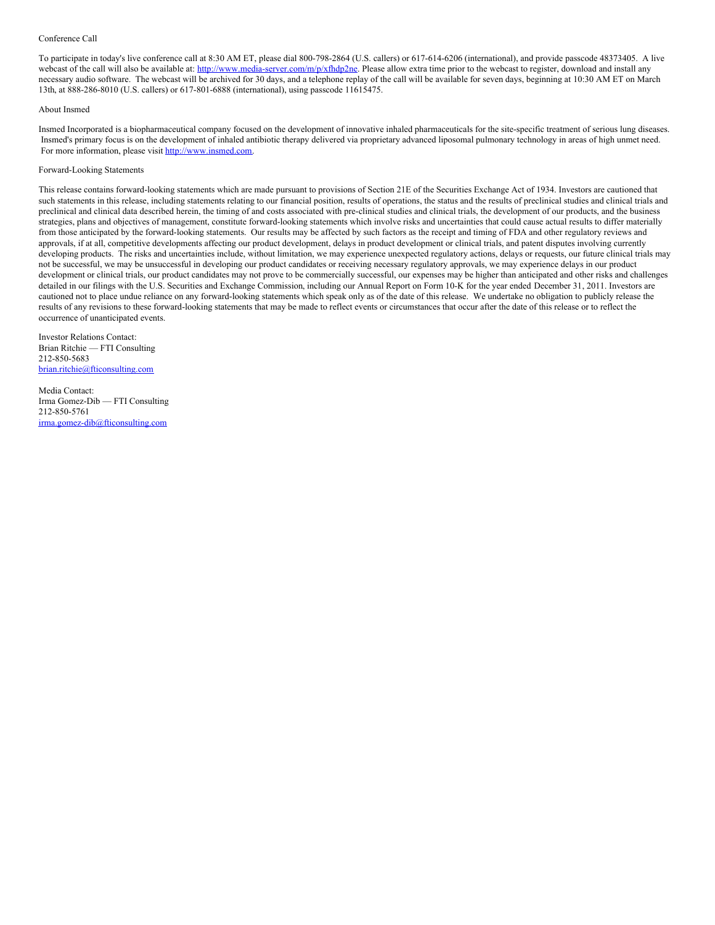#### Conference Call

To participate in today's live conference call at 8:30 AM ET, please dial 800-798-2864 (U.S. callers) or 617-614-6206 (international), and provide passcode 48373405. A live webcast of the call will also be available at: <http://www.media-server.com/m/p/xfhdp2ne>. Please allow extra time prior to the webcast to register, download and install any necessary audio software. The webcast will be archived for 30 days, and a telephone replay of the call will be available for seven days, beginning at 10:30 AM ET on March 13th, at 888-286-8010 (U.S. callers) or 617-801-6888 (international), using passcode 11615475.

#### About Insmed

Insmed Incorporated is a biopharmaceutical company focused on the development of innovative inhaled pharmaceuticals for the site-specific treatment of serious lung diseases. Insmed's primary focus is on the development of inhaled antibiotic therapy delivered via proprietary advanced liposomal pulmonary technology in areas of high unmet need. For more information, please visit [http://www.insmed.com](http://www.insmed.com/).

#### Forward-Looking Statements

This release contains forward-looking statements which are made pursuant to provisions of Section 21E of the Securities Exchange Act of 1934. Investors are cautioned that such statements in this release, including statements relating to our financial position, results of operations, the status and the results of preclinical studies and clinical trials and preclinical and clinical data described herein, the timing of and costs associated with pre-clinical studies and clinical trials, the development of our products, and the business strategies, plans and objectives of management, constitute forward-looking statements which involve risks and uncertainties that could cause actual results to differ materially from those anticipated by the forward-looking statements. Our results may be affected by such factors as the receipt and timing of FDA and other regulatory reviews and approvals, if at all, competitive developments affecting our product development, delays in product development or clinical trials, and patent disputes involving currently developing products. The risks and uncertainties include, without limitation, we may experience unexpected regulatory actions, delays or requests, our future clinical trials may not be successful, we may be unsuccessful in developing our product candidates or receiving necessary regulatory approvals, we may experience delays in our product development or clinical trials, our product candidates may not prove to be commercially successful, our expenses may be higher than anticipated and other risks and challenges detailed in our filings with the U.S. Securities and Exchange Commission, including our Annual Report on Form 10-K for the year ended December 31, 2011. Investors are cautioned not to place undue reliance on any forward-looking statements which speak only as of the date of this release. We undertake no obligation to publicly release the results of any revisions to these forward-looking statements that may be made to reflect events or circumstances that occur after the date of this release or to reflect the occurrence of unanticipated events.

Investor Relations Contact: Brian Ritchie — FTI Consulting 212-850-5683 [brian.ritchie@fticonsulting.com](mailto:brian.ritchie@fticonsulting.com)

Media Contact: Irma Gomez-Dib — FTI Consulting 212-850-5761 [irma.gomez-dib@fticonsulting.com](mailto:irma.gomez-dib@fticonsulting.com)